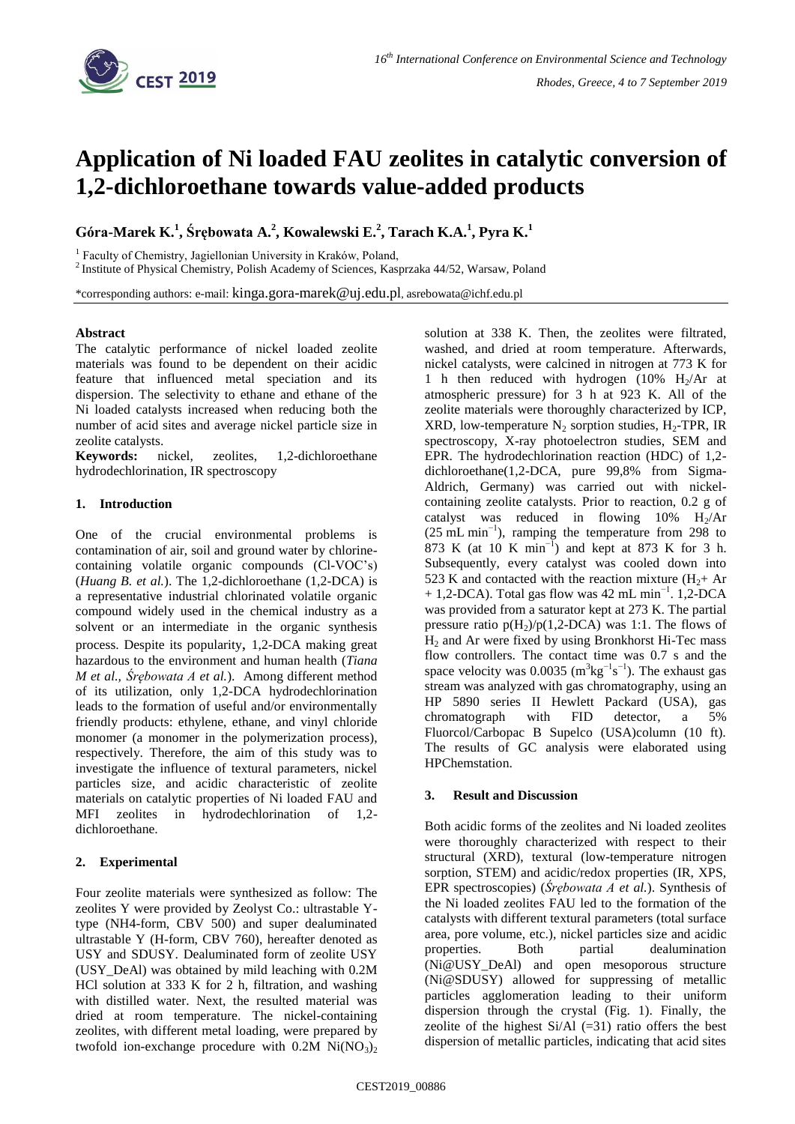

# **Application of Ni loaded FAU zeolites in catalytic conversion of 1,2-dichloroethane towards value-added products**

**Góra-Marek K.<sup>1</sup> , Śrębowata A.<sup>2</sup> , Kowalewski E.<sup>2</sup> , Tarach K.A.<sup>1</sup> , Pyra K.<sup>1</sup>**

<sup>1</sup> Faculty of Chemistry, Jagiellonian University in Kraków, Poland,

<sup>2</sup> Institute of Physical Chemistry, Polish Academy of Sciences, Kasprzaka 44/52, Warsaw, Poland

\*corresponding authors: e-mail: kinga.gora-marek@uj.edu.pl, asrebowata@ichf.edu.pl

### **Abstract**

The catalytic performance of nickel loaded zeolite materials was found to be dependent on their acidic feature that influenced metal speciation and its dispersion. The selectivity to ethane and ethane of the Ni loaded catalysts increased when reducing both the number of acid sites and average nickel particle size in zeolite catalysts.

**Keywords:** nickel, zeolites, 1,2-dichloroethane hydrodechlorination, IR spectroscopy

## **1. Introduction**

One of the crucial environmental problems is contamination of air, soil and ground water by chlorinecontaining volatile organic compounds (Cl-VOC's) (*Huang B. et al.*). The 1,2-dichloroethane (1,2-DCA) is a representative industrial chlorinated volatile organic compound widely used in the chemical industry as a solvent or an intermediate in the organic synthesis process. Despite its popularity, 1,2-DCA making great hazardous to the environment and human health (*Tiana M et al., Śrębowata A et al.*). Among different method of its utilization, only 1,2-DCA hydrodechlorination leads to the formation of useful and/or environmentally friendly products: ethylene, ethane, and vinyl chloride monomer (a monomer in the polymerization process), respectively. Therefore, the aim of this study was to investigate the influence of textural parameters, nickel particles size, and acidic characteristic of zeolite materials on catalytic properties of Ni loaded FAU and MFI zeolites in hydrodechlorination of 1,2 dichloroethane.

# **2. Experimental**

Four zeolite materials were synthesized as follow: The zeolites Y were provided by Zeolyst Co.: ultrastable Ytype (NH4-form, CBV 500) and super dealuminated ultrastable Y (H-form, CBV 760), hereafter denoted as USY and SDUSY. Dealuminated form of zeolite USY (USY\_DeAl) was obtained by mild leaching with 0.2M HCl solution at 333 K for 2 h, filtration, and washing with distilled water. Next, the resulted material was dried at room temperature. The nickel-containing zeolites, with different metal loading, were prepared by twofold ion-exchange procedure with  $0.2M$  Ni $(NO<sub>3</sub>)<sub>2</sub>$ 

solution at 338 K. Then, the zeolites were filtrated, washed, and dried at room temperature. Afterwards, nickel catalysts, were calcined in nitrogen at 773 K for 1 h then reduced with hydrogen  $(10\% \text{ H})/\text{Ar}$  at atmospheric pressure) for 3 h at 923 K. All of the zeolite materials were thoroughly characterized by ICP, XRD, low-temperature  $N_2$  sorption studies,  $H_2$ -TPR, IR spectroscopy, X-ray photoelectron studies, SEM and EPR. The hydrodechlorination reaction (HDC) of 1,2 dichloroethane(1,2-DCA, pure 99,8% from Sigma-Aldrich, Germany) was carried out with nickelcontaining zeolite catalysts. Prior to reaction, 0.2 g of catalyst was reduced in flowing  $10\%$  H<sub>2</sub>/Ar  $(25 \text{ mL min}^{-1})$ , ramping the temperature from 298 to 873 K (at 10 K min<sup>-1</sup>) and kept at 873 K for 3 h. Subsequently, every catalyst was cooled down into 523 K and contacted with the reaction mixture  $(H<sub>2</sub> + Ar)$ + 1,2-DCA). Total gas flow was 42 mL min<sup>-1</sup>. 1,2-DCA was provided from a saturator kept at 273 K. The partial pressure ratio  $p(H_2)/p(1,2-DCA)$  was 1:1. The flows of  $H<sub>2</sub>$  and Ar were fixed by using Bronkhorst Hi-Tec mass flow controllers. The contact time was 0.7 s and the space velocity was 0.0035 ( $m^3 \text{kg}^{-1} \text{s}^{-1}$ ). The exhaust gas stream was analyzed with gas chromatography, using an HP 5890 series II Hewlett Packard (USA), gas<br>chromatograph with FID detector, a 5% chromatograph with FID detector, a 5% Fluorcol/Carbopac B Supelco (USA)column (10 ft). The results of GC analysis were elaborated using HPChemstation.

# **3. Result and Discussion**

Both acidic forms of the zeolites and Ni loaded zeolites were thoroughly characterized with respect to their structural (XRD), textural (low-temperature nitrogen sorption, STEM) and acidic/redox properties (IR, XPS, EPR spectroscopies) (*Śrębowata A et al.*). Synthesis of the Ni loaded zeolites FAU led to the formation of the catalysts with different textural parameters (total surface area, pore volume, etc.), nickel particles size and acidic properties. Both partial dealumination (Ni@USY\_DeAl) and open mesoporous structure (Ni@SDUSY) allowed for suppressing of metallic particles agglomeration leading to their uniform dispersion through the crystal (Fig. 1). Finally, the zeolite of the highest  $Si/Al$  (=31) ratio offers the best dispersion of metallic particles, indicating that acid sites